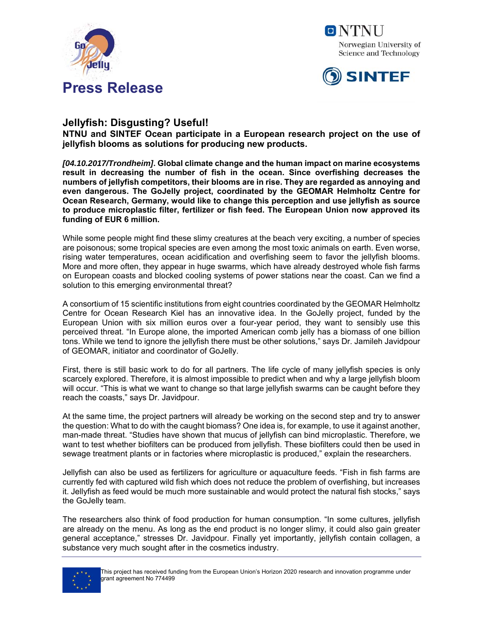





## **Jellyfish: Disgusting? Useful!**

**NTNU and SINTEF Ocean participate in a European research project on the use of jellyfish blooms as solutions for producing new products.** 

*[04.10.2017/Trondheim]***. Global climate change and the human impact on marine ecosystems result in decreasing the number of fish in the ocean. Since overfishing decreases the numbers of jellyfish competitors, their blooms are in rise. They are regarded as annoying and even dangerous. The GoJelly project, coordinated by the GEOMAR Helmholtz Centre for Ocean Research, Germany, would like to change this perception and use jellyfish as source to produce microplastic filter, fertilizer or fish feed. The European Union now approved its funding of EUR 6 million.** 

While some people might find these slimy creatures at the beach very exciting, a number of species are poisonous; some tropical species are even among the most toxic animals on earth. Even worse, rising water temperatures, ocean acidification and overfishing seem to favor the jellyfish blooms. More and more often, they appear in huge swarms, which have already destroyed whole fish farms on European coasts and blocked cooling systems of power stations near the coast. Can we find a solution to this emerging environmental threat?

A consortium of 15 scientific institutions from eight countries coordinated by the GEOMAR Helmholtz Centre for Ocean Research Kiel has an innovative idea. In the GoJelly project, funded by the European Union with six million euros over a four-year period, they want to sensibly use this perceived threat. "In Europe alone, the imported American comb jelly has a biomass of one billion tons. While we tend to ignore the jellyfish there must be other solutions," says Dr. Jamileh Javidpour of GEOMAR, initiator and coordinator of GoJelly.

First, there is still basic work to do for all partners. The life cycle of many jellyfish species is only scarcely explored. Therefore, it is almost impossible to predict when and why a large jellyfish bloom will occur. "This is what we want to change so that large jellyfish swarms can be caught before they reach the coasts," says Dr. Javidpour.

At the same time, the project partners will already be working on the second step and try to answer the question: What to do with the caught biomass? One idea is, for example, to use it against another, man-made threat. "Studies have shown that mucus of jellyfish can bind microplastic. Therefore, we want to test whether biofilters can be produced from jellyfish. These biofilters could then be used in sewage treatment plants or in factories where microplastic is produced," explain the researchers.

Jellyfish can also be used as fertilizers for agriculture or aquaculture feeds. "Fish in fish farms are currently fed with captured wild fish which does not reduce the problem of overfishing, but increases it. Jellyfish as feed would be much more sustainable and would protect the natural fish stocks," says the GoJelly team.

The researchers also think of food production for human consumption. "In some cultures, jellyfish are already on the menu. As long as the end product is no longer slimy, it could also gain greater general acceptance," stresses Dr. Javidpour. Finally yet importantly, jellyfish contain collagen, a substance very much sought after in the cosmetics industry.